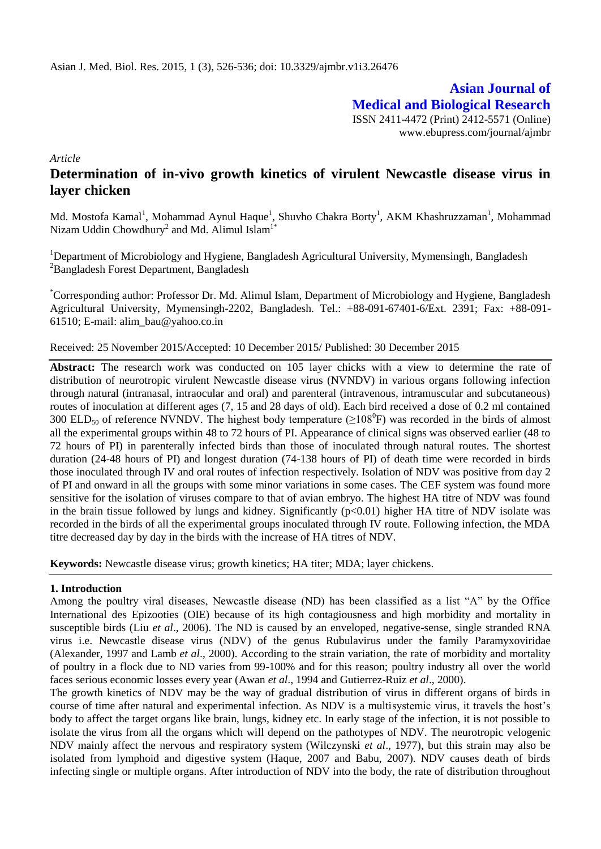**Asian Journal of Medical and Biological Research** ISSN 2411-4472 (Print) 2412-5571 (Online)

www.ebupress.com/journal/ajmbr

*Article*

# **Determination of in-vivo growth kinetics of virulent Newcastle disease virus in layer chicken**

Md. Mostofa Kamal<sup>1</sup>, Mohammad Aynul Haque<sup>1</sup>, Shuvho Chakra Borty<sup>1</sup>, AKM Khashruzzaman<sup>1</sup>, Mohammad Nizam Uddin Chowdhury<sup>2</sup> and Md. Alimul Islam<sup>1\*</sup>

<sup>1</sup>Department of Microbiology and Hygiene, Bangladesh Agricultural University, Mymensingh, Bangladesh <sup>2</sup>Bangladesh Forest Department, Bangladesh

\*Corresponding author: Professor Dr. Md. Alimul Islam, Department of Microbiology and Hygiene, Bangladesh Agricultural University, Mymensingh-2202, Bangladesh. Tel.: +88-091-67401-6/Ext. 2391; Fax: +88-091- 61510; E-mail: [alim\\_bau@yahoo.co.in](mailto:alim_bau@yahoo.co.in)

#### Received: 25 November 2015/Accepted: 10 December 2015/ Published: 30 December 2015

**Abstract:** The research work was conducted on 105 layer chicks with a view to determine the rate of distribution of neurotropic virulent Newcastle disease virus (NVNDV) in various organs following infection through natural (intranasal, intraocular and oral) and parenteral (intravenous, intramuscular and subcutaneous) routes of inoculation at different ages (7, 15 and 28 days of old). Each bird received a dose of 0.2 ml contained 300 ELD<sub>50</sub> of reference NVNDV. The highest body temperature ( $\geq$ 108<sup>0</sup>F) was recorded in the birds of almost all the experimental groups within 48 to 72 hours of PI. Appearance of clinical signs was observed earlier (48 to 72 hours of PI) in parenterally infected birds than those of inoculated through natural routes. The shortest duration (24-48 hours of PI) and longest duration (74-138 hours of PI) of death time were recorded in birds those inoculated through IV and oral routes of infection respectively. Isolation of NDV was positive from day 2 of PI and onward in all the groups with some minor variations in some cases. The CEF system was found more sensitive for the isolation of viruses compare to that of avian embryo. The highest HA titre of NDV was found in the brain tissue followed by lungs and kidney. Significantly  $(p<0.01)$  higher HA titre of NDV isolate was recorded in the birds of all the experimental groups inoculated through IV route. Following infection, the MDA titre decreased day by day in the birds with the increase of HA titres of NDV.

**Keywords:** Newcastle disease virus; growth kinetics; HA titer; MDA; layer chickens.

#### **1. Introduction**

Among the poultry viral diseases, Newcastle disease (ND) has been classified as a list "A" by the Office International des Epizooties (OIE) because of its high contagiousness and high morbidity and mortality in susceptible birds (Liu *et al*., 2006). The ND is caused by an enveloped, negative-sense, single stranded RNA virus i.e. Newcastle disease virus (NDV) of the genus Rubulavirus under the family Paramyxoviridae (Alexander, 1997 and Lamb *et al*., 2000). According to the strain variation, the rate of morbidity and mortality of poultry in a flock due to ND varies from 99-100% and for this reason; poultry industry all over the world faces serious economic losses every year (Awan *et al*., 1994 and Gutierrez-Ruiz *et al*., 2000).

The growth kinetics of NDV may be the way of gradual distribution of virus in different organs of birds in course of time after natural and experimental infection. As NDV is a multisystemic virus, it travels the host's body to affect the target organs like brain, lungs, kidney etc. In early stage of the infection, it is not possible to isolate the virus from all the organs which will depend on the pathotypes of NDV. The neurotropic velogenic NDV mainly affect the nervous and respiratory system (Wilczynski *et al*., 1977), but this strain may also be isolated from lymphoid and digestive system (Haque, 2007 and Babu, 2007). NDV causes death of birds infecting single or multiple organs. After introduction of NDV into the body, the rate of distribution throughout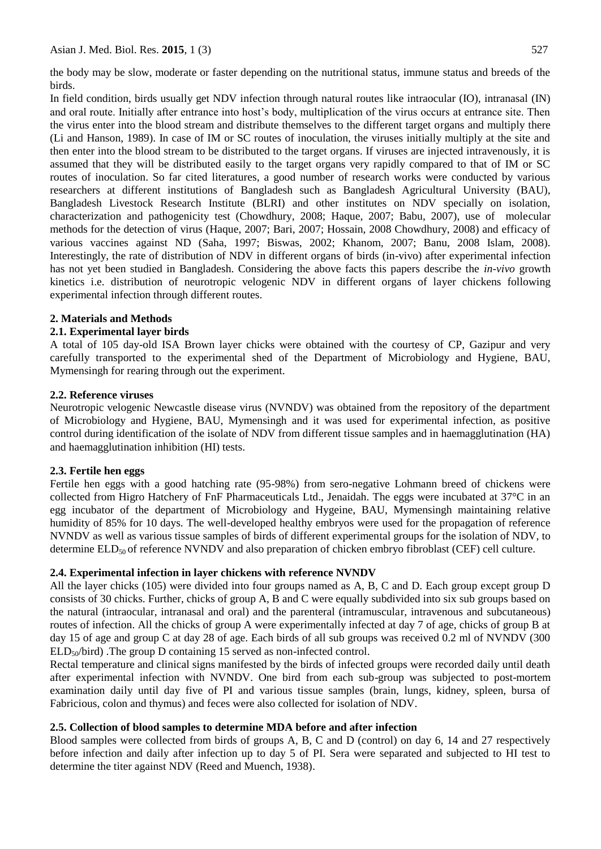the body may be slow, moderate or faster depending on the nutritional status, immune status and breeds of the birds.

In field condition, birds usually get NDV infection through natural routes like intraocular (IO), intranasal (IN) and oral route. Initially after entrance into host's body, multiplication of the virus occurs at entrance site. Then the virus enter into the blood stream and distribute themselves to the different target organs and multiply there (Li and Hanson, 1989). In case of IM or SC routes of inoculation, the viruses initially multiply at the site and then enter into the blood stream to be distributed to the target organs. If viruses are injected intravenously, it is assumed that they will be distributed easily to the target organs very rapidly compared to that of IM or SC routes of inoculation. So far cited literatures, a good number of research works were conducted by various researchers at different institutions of Bangladesh such as Bangladesh Agricultural University (BAU), Bangladesh Livestock Research Institute (BLRI) and other institutes on NDV specially on isolation, characterization and pathogenicity test (Chowdhury, 2008; Haque, 2007; Babu, 2007), use of molecular methods for the detection of virus (Haque, 2007; Bari, 2007; Hossain, 2008 Chowdhury, 2008) and efficacy of various vaccines against ND (Saha, 1997; Biswas, 2002; Khanom, 2007; Banu, 2008 Islam, 2008). Interestingly, the rate of distribution of NDV in different organs of birds (in-vivo) after experimental infection has not yet been studied in Bangladesh. Considering the above facts this papers describe the *in-vivo* growth kinetics i.e. distribution of neurotropic velogenic NDV in different organs of layer chickens following experimental infection through different routes.

# **2. Materials and Methods**

# **2.1. Experimental layer birds**

A total of 105 day-old ISA Brown layer chicks were obtained with the courtesy of CP, Gazipur and very carefully transported to the experimental shed of the Department of Microbiology and Hygiene, BAU, Mymensingh for rearing through out the experiment.

# **2.2. Reference viruses**

Neurotropic velogenic Newcastle disease virus (NVNDV) was obtained from the repository of the department of Microbiology and Hygiene, BAU, Mymensingh and it was used for experimental infection, as positive control during identification of the isolate of NDV from different tissue samples and in haemagglutination (HA) and haemagglutination inhibition (HI) tests.

# **2.3. Fertile hen eggs**

Fertile hen eggs with a good hatching rate (95-98%) from sero-negative Lohmann breed of chickens were collected from Higro Hatchery of FnF Pharmaceuticals Ltd., Jenaidah. The eggs were incubated at 37°C in an egg incubator of the department of Microbiology and Hygeine, BAU, Mymensingh maintaining relative humidity of 85% for 10 days. The well-developed healthy embryos were used for the propagation of reference NVNDV as well as various tissue samples of birds of different experimental groups for the isolation of NDV, to determine  $ELD_{50}$  of reference NVNDV and also preparation of chicken embryo fibroblast (CEF) cell culture.

# **2.4. Experimental infection in layer chickens with reference NVNDV**

All the layer chicks (105) were divided into four groups named as A, B, C and D. Each group except group D consists of 30 chicks. Further, chicks of group A, B and C were equally subdivided into six sub groups based on the natural (intraocular, intranasal and oral) and the parenteral (intramuscular, intravenous and subcutaneous) routes of infection. All the chicks of group A were experimentally infected at day 7 of age, chicks of group B at day 15 of age and group C at day 28 of age. Each birds of all sub groups was received 0.2 ml of NVNDV (300)  $ELD<sub>50</sub>/bird$ ). The group D containing 15 served as non-infected control.

Rectal temperature and clinical signs manifested by the birds of infected groups were recorded daily until death after experimental infection with NVNDV. One bird from each sub-group was subjected to post-mortem examination daily until day five of PI and various tissue samples (brain, lungs, kidney, spleen, bursa of Fabricious, colon and thymus) and feces were also collected for isolation of NDV.

# **2.5. Collection of blood samples to determine MDA before and after infection**

Blood samples were collected from birds of groups A, B, C and D (control) on day 6, 14 and 27 respectively before infection and daily after infection up to day 5 of PI. Sera were separated and subjected to HI test to determine the titer against NDV (Reed and Muench, 1938).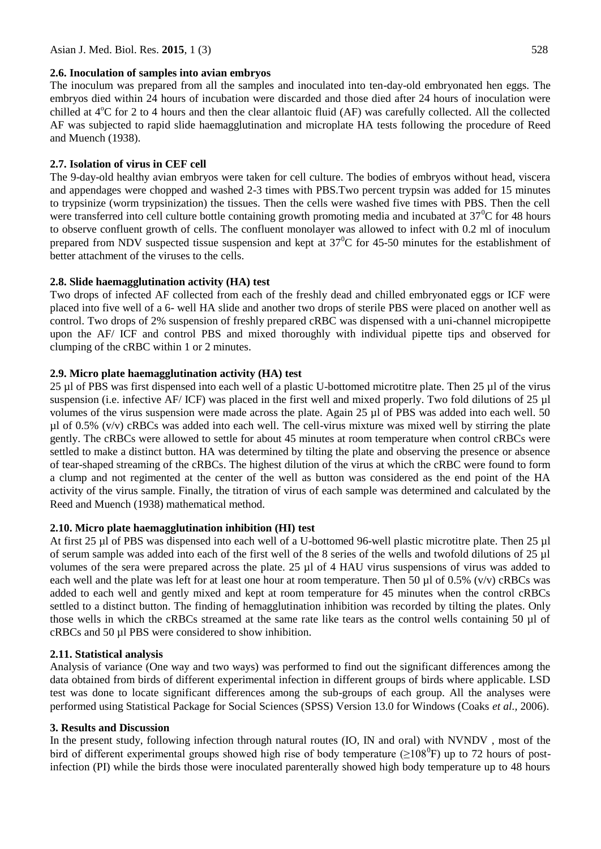#### **2.6. Inoculation of samples into avian embryos**

The inoculum was prepared from all the samples and inoculated into ten-day-old embryonated hen eggs. The embryos died within 24 hours of incubation were discarded and those died after 24 hours of inoculation were chilled at  $4^{\circ}$ C for 2 to 4 hours and then the clear allantoic fluid (AF) was carefully collected. All the collected AF was subjected to rapid slide haemagglutination and microplate HA tests following the procedure of Reed and Muench (1938).

### **2.7. Isolation of virus in CEF cell**

The 9-day-old healthy avian embryos were taken for cell culture. The bodies of embryos without head, viscera and appendages were chopped and washed 2-3 times with PBS.Two percent trypsin was added for 15 minutes to trypsinize (worm trypsinization) the tissues. Then the cells were washed five times with PBS. Then the cell were transferred into cell culture bottle containing growth promoting media and incubated at  $37^{\circ}$ C for 48 hours to observe confluent growth of cells. The confluent monolayer was allowed to infect with 0.2 ml of inoculum prepared from NDV suspected tissue suspension and kept at  $37^{\circ}$ C for 45-50 minutes for the establishment of better attachment of the viruses to the cells.

#### **2.8. Slide haemagglutination activity (HA) test**

Two drops of infected AF collected from each of the freshly dead and chilled embryonated eggs or ICF were placed into five well of a 6- well HA slide and another two drops of sterile PBS were placed on another well as control. Two drops of 2% suspension of freshly prepared cRBC was dispensed with a uni-channel micropipette upon the AF/ ICF and control PBS and mixed thoroughly with individual pipette tips and observed for clumping of the cRBC within 1 or 2 minutes.

# **2.9. Micro plate haemagglutination activity (HA) test**

25 µl of PBS was first dispensed into each well of a plastic U-bottomed microtitre plate. Then 25 µl of the virus suspension (i.e. infective AF/ ICF) was placed in the first well and mixed properly. Two fold dilutions of 25 µl volumes of the virus suspension were made across the plate. Again 25 µl of PBS was added into each well. 50  $\mu$ l of 0.5% (v/v) cRBCs was added into each well. The cell-virus mixture was mixed well by stirring the plate gently. The cRBCs were allowed to settle for about 45 minutes at room temperature when control cRBCs were settled to make a distinct button. HA was determined by tilting the plate and observing the presence or absence of tear-shaped streaming of the cRBCs. The highest dilution of the virus at which the cRBC were found to form a clump and not regimented at the center of the well as button was considered as the end point of the HA activity of the virus sample. Finally, the titration of virus of each sample was determined and calculated by the Reed and Muench (1938) mathematical method.

# **2.10. Micro plate haemagglutination inhibition (HI) test**

At first 25 µl of PBS was dispensed into each well of a U-bottomed 96-well plastic microtitre plate. Then 25 µl of serum sample was added into each of the first well of the 8 series of the wells and twofold dilutions of 25 µl volumes of the sera were prepared across the plate. 25 µl of 4 HAU virus suspensions of virus was added to each well and the plate was left for at least one hour at room temperature. Then 50  $\mu$ l of 0.5% (v/v) cRBCs was added to each well and gently mixed and kept at room temperature for 45 minutes when the control cRBCs settled to a distinct button. The finding of hemagglutination inhibition was recorded by tilting the plates. Only those wells in which the cRBCs streamed at the same rate like tears as the control wells containing 50 µl of cRBCs and 50 µl PBS were considered to show inhibition.

#### **2.11. Statistical analysis**

Analysis of variance (One way and two ways) was performed to find out the significant differences among the data obtained from birds of different experimental infection in different groups of birds where applicable. LSD test was done to locate significant differences among the sub-groups of each group. All the analyses were performed using Statistical Package for Social Sciences (SPSS) Version 13.0 for Windows (Coaks *et al.,* 2006).

#### **3. Results and Discussion**

In the present study, following infection through natural routes (IO, IN and oral) with NVNDV , most of the bird of different experimental groups showed high rise of body temperature ( $\geq$ 108<sup>0</sup>F) up to 72 hours of postinfection (PI) while the birds those were inoculated parenterally showed high body temperature up to 48 hours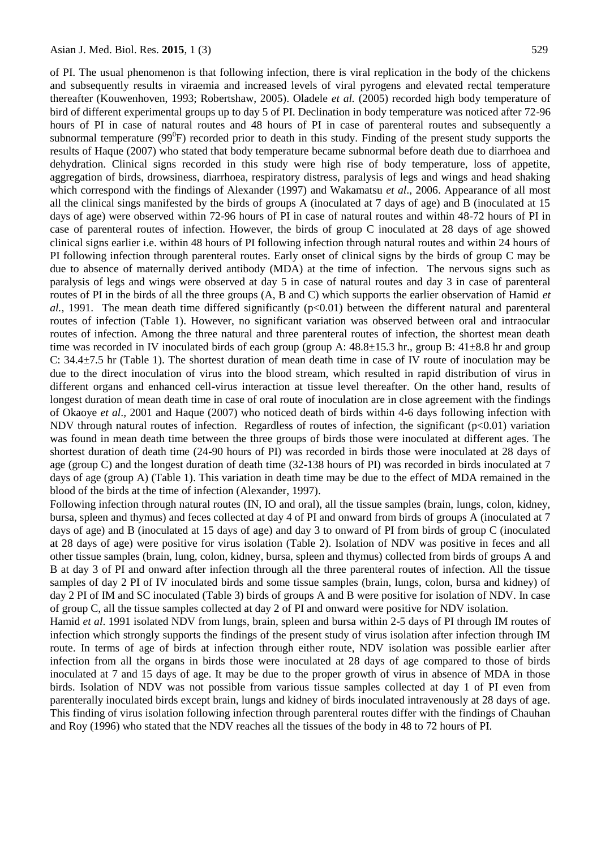of PI. The usual phenomenon is that following infection, there is viral replication in the body of the chickens and subsequently results in viraemia and increased levels of viral pyrogens and elevated rectal temperature thereafter (Kouwenhoven, 1993; Robertshaw, 2005). Oladele *et al.* (2005) recorded high body temperature of bird of different experimental groups up to day 5 of PI. Declination in body temperature was noticed after 72-96 hours of PI in case of natural routes and 48 hours of PI in case of parenteral routes and subsequently a subnormal temperature  $(99^0F)$  recorded prior to death in this study. Finding of the present study supports the results of Haque (2007) who stated that body temperature became subnormal before death due to diarrhoea and dehydration. Clinical signs recorded in this study were high rise of body temperature, loss of appetite, aggregation of birds, drowsiness, diarrhoea, respiratory distress, paralysis of legs and wings and head shaking which correspond with the findings of Alexander (1997) and Wakamatsu *et al*., 2006. Appearance of all most all the clinical sings manifested by the birds of groups A (inoculated at 7 days of age) and B (inoculated at 15 days of age) were observed within 72-96 hours of PI in case of natural routes and within 48-72 hours of PI in case of parenteral routes of infection. However, the birds of group C inoculated at 28 days of age showed clinical signs earlier i.e. within 48 hours of PI following infection through natural routes and within 24 hours of PI following infection through parenteral routes. Early onset of clinical signs by the birds of group C may be due to absence of maternally derived antibody (MDA) at the time of infection. The nervous signs such as paralysis of legs and wings were observed at day 5 in case of natural routes and day 3 in case of parenteral routes of PI in the birds of all the three groups (A, B and C) which supports the earlier observation of Hamid *et*   $al,$  1991. The mean death time differed significantly  $(p<0.01)$  between the different natural and parenteral routes of infection (Table 1). However, no significant variation was observed between oral and intraocular routes of infection. Among the three natural and three parenteral routes of infection, the shortest mean death time was recorded in IV inoculated birds of each group (group A:  $48.8\pm15.3$  hr., group B:  $41\pm8.8$  hr and group C: 34.4±7.5 hr (Table 1). The shortest duration of mean death time in case of IV route of inoculation may be due to the direct inoculation of virus into the blood stream, which resulted in rapid distribution of virus in different organs and enhanced cell-virus interaction at tissue level thereafter. On the other hand, results of longest duration of mean death time in case of oral route of inoculation are in close agreement with the findings of Okaoye *et al*.*,* 2001 and Haque (2007) who noticed death of birds within 4-6 days following infection with NDV through natural routes of infection. Regardless of routes of infection, the significant  $(p<0.01)$  variation was found in mean death time between the three groups of birds those were inoculated at different ages. The shortest duration of death time (24-90 hours of PI) was recorded in birds those were inoculated at 28 days of age (group C) and the longest duration of death time (32-138 hours of PI) was recorded in birds inoculated at 7 days of age (group A) (Table 1). This variation in death time may be due to the effect of MDA remained in the blood of the birds at the time of infection (Alexander, 1997).

Following infection through natural routes (IN, IO and oral), all the tissue samples (brain, lungs, colon, kidney, bursa, spleen and thymus) and feces collected at day 4 of PI and onward from birds of groups A (inoculated at 7 days of age) and B (inoculated at 15 days of age) and day 3 to onward of PI from birds of group C (inoculated at 28 days of age) were positive for virus isolation (Table 2). Isolation of NDV was positive in feces and all other tissue samples (brain, lung, colon, kidney, bursa, spleen and thymus) collected from birds of groups A and B at day 3 of PI and onward after infection through all the three parenteral routes of infection. All the tissue samples of day 2 PI of IV inoculated birds and some tissue samples (brain, lungs, colon, bursa and kidney) of day 2 PI of IM and SC inoculated (Table 3) birds of groups A and B were positive for isolation of NDV. In case of group C, all the tissue samples collected at day 2 of PI and onward were positive for NDV isolation.

Hamid *et al*. 1991 isolated NDV from lungs, brain, spleen and bursa within 2-5 days of PI through IM routes of infection which strongly supports the findings of the present study of virus isolation after infection through IM route. In terms of age of birds at infection through either route, NDV isolation was possible earlier after infection from all the organs in birds those were inoculated at 28 days of age compared to those of birds inoculated at 7 and 15 days of age. It may be due to the proper growth of virus in absence of MDA in those birds. Isolation of NDV was not possible from various tissue samples collected at day 1 of PI even from parenterally inoculated birds except brain, lungs and kidney of birds inoculated intravenously at 28 days of age. This finding of virus isolation following infection through parenteral routes differ with the findings of Chauhan and Roy (1996) who stated that the NDV reaches all the tissues of the body in 48 to 72 hours of PI.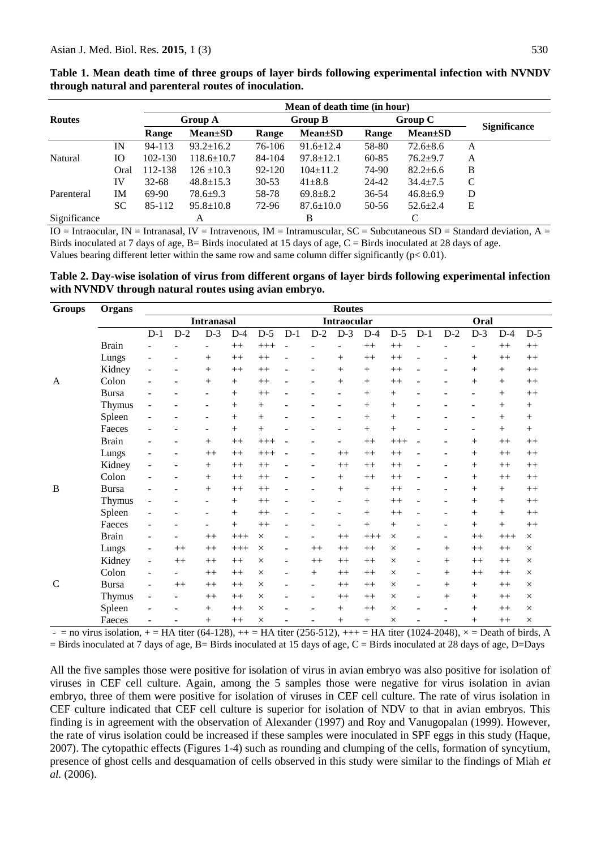|               |      | Mean of death time (in hour) |                  |           |                 |           |                 |                     |  |  |  |  |  |
|---------------|------|------------------------------|------------------|-----------|-----------------|-----------|-----------------|---------------------|--|--|--|--|--|
| <b>Routes</b> |      |                              | <b>Group A</b>   |           | <b>Group B</b>  |           | Group C         |                     |  |  |  |  |  |
|               |      | Range                        | $Mean \pm SD$    | Range     | $Mean \pm SD$   | Range     | <b>Mean</b> ±SD | <b>Significance</b> |  |  |  |  |  |
| Natural       | IN   | 94-113                       | $93.2 \pm 16.2$  | 76-106    | $91.6 \pm 12.4$ | 58-80     | $72.6 \pm 8.6$  | A                   |  |  |  |  |  |
|               | Ю    | 102-130                      | $118.6 \pm 10.7$ | 84-104    | $97.8 \pm 12.1$ | 60-85     | $76.2 + 9.7$    | A                   |  |  |  |  |  |
|               | Oral | 112-138                      | $126 \pm 10.3$   | 92-120    | $104 \pm 11.2$  | 74-90     | $82.2 \pm 6.6$  | B                   |  |  |  |  |  |
|               | IV   | $32 - 68$                    | $48.8 \pm 15.3$  | $30 - 53$ | $41 \pm 8.8$    | 24-42     | $34.4 \pm 7.5$  | C                   |  |  |  |  |  |
| Parenteral    | IM   | 69-90                        | $78.6 + 9.3$     | 58-78     | $69.8 \pm 8.2$  | $36 - 54$ | $46.8 \pm 6.9$  | D                   |  |  |  |  |  |
|               | SC   | 85-112                       | $95.8 \pm 10.8$  | 72-96     | $87.6 \pm 10.0$ | 50-56     | $52.6 \pm 2.4$  | Ε                   |  |  |  |  |  |
| Significance  |      |                              | А                |           | B               |           | C               |                     |  |  |  |  |  |

**Table 1. Mean death time of three groups of layer birds following experimental infection with NVNDV through natural and parenteral routes of inoculation.**

 $IO = Intraocular, IN = Intranasal, IV = Intravenous, IM = Intramuscular, SC = Subcutaneous SD = Standard deviation, A =$ Birds inoculated at 7 days of age,  $B =$  Birds inoculated at 15 days of age,  $C =$  Birds inoculated at 28 days of age. Values bearing different letter within the same row and same column differ significantly ( $p < 0.01$ ).

**Table 2. Day-wise isolation of virus from different organs of layer birds following experimental infection with NVNDV through natural routes using avian embryo.**

| <b>Groups</b> | Organs       | <b>Routes</b>            |                   |                   |        |          |                          |                    |        |         |          |       |        |       |         |                 |
|---------------|--------------|--------------------------|-------------------|-------------------|--------|----------|--------------------------|--------------------|--------|---------|----------|-------|--------|-------|---------|-----------------|
|               |              |                          | <b>Intranasal</b> |                   |        |          |                          | <b>Intraocular</b> |        |         |          |       |        | Oral  |         |                 |
|               |              | $D-1$                    | $D-2$             | $D-3$             | $D-4$  | $D-5$    | $D-1$                    | $D-2$              | $D-3$  | $D-4$   | $D-5$    | $D-1$ | $D-2$  | $D-3$ | $D-4$   | $D-5$           |
|               | <b>Brain</b> |                          |                   | ÷,                | $++$   | $+++$    |                          |                    |        | $++$    | $^{++}$  |       |        |       | $++$    | $++$            |
|               | Lungs        |                          |                   | $+$               | $++$   | $++$     |                          |                    | $^{+}$ | $++$    | $++$     |       |        | $+$   | $++$    | $++$            |
|               | Kidney       |                          |                   | $+$               | $++$   | $++$     |                          |                    | $^{+}$ | $^{+}$  | $^{++}$  |       |        |       | $^{+}$  | $^{++}$         |
| A             | Colon        |                          |                   | $+$               | $+$    | $++$     |                          |                    | $+$    | $+$     | $^{++}$  |       |        | $+$   | $+$     | $^{++}$         |
|               | <b>Bursa</b> |                          |                   | ۰                 | $+$    | $++$     |                          |                    |        | $+$     | $+$      |       |        |       | $^{+}$  | $^{++}$         |
|               | Thymus       |                          |                   | -                 | $+$    | $^{+}$   |                          |                    |        | $+$     | $^{+}$   |       |        |       | $+$     | $\! + \!\!\!\!$ |
|               | Spleen       |                          |                   | $\qquad \qquad -$ | $+$    | $+$      |                          |                    |        | $+$     | $^{+}$   |       |        |       | $+$     | $^{+}$          |
|               | Faeces       |                          |                   | ÷,                | $^{+}$ | $^{+}$   |                          |                    |        | $+$     | $^{+}$   |       |        |       | $^{+}$  | $+$             |
|               | <b>Brain</b> |                          |                   | $^{+}$            | $++$   | $+++$    |                          |                    |        | $++$    | $+++$    |       |        | $+$   | $^{++}$ | $^{++}$         |
|               | Lungs        |                          |                   | $++$              | $++$   | $+++$    |                          | ۰                  | $++$   | $++$    | $++$     |       | ۰      |       | $++$    | $++$            |
|               | Kidney       |                          |                   | $+$               | $++$   | $^{++}$  |                          |                    | $++$   | $^{++}$ | $^{++}$  |       |        | $+$   | $++$    | $^{++}$         |
|               | Colon        |                          |                   | $+$               | $++$   | $++$     |                          |                    | $+$    | $^{++}$ | $++$     |       |        | $+$   | $++$    | $^{++}$         |
| B             | <b>Bursa</b> |                          |                   | $+$               | $++$   | $^{++}$  |                          |                    | $+$    | $+$     | $^{++}$  |       |        | $+$   | $^{+}$  | $^{++}$         |
|               | Thymus       |                          |                   | $\qquad \qquad -$ | $+$    | $++$     |                          |                    |        | $+$     | $++$     |       |        | $+$   | $+$     | $^{++}$         |
|               | Spleen       |                          |                   | $\qquad \qquad -$ | $+$    | $++$     |                          |                    |        | $+$     | $++$     |       | ۰      | $+$   | $+$     | $^{++}$         |
|               | Faeces       |                          |                   | -                 | $^{+}$ | $++$     |                          |                    |        | $+$     | $^{+}$   |       |        | $+$   | $+$     | $^{++}$         |
|               | <b>Brain</b> |                          |                   | $^{++}$           | $+++$  | $\times$ |                          |                    | $++$   | $+++$   | $\times$ |       |        | $++$  | $+++$   | $\times$        |
|               | Lungs        | $\overline{\phantom{a}}$ | $++$              | $++$              | $+++$  | $\times$ | $\overline{\phantom{0}}$ | $++$               | $++$   | $++$    | $\times$ | ۰     | $^{+}$ | $++$  | $++$    | $\times$        |
|               | Kidney       | $\overline{\phantom{a}}$ | $++$              | $++$              | $++$   | $\times$ | $\overline{a}$           | $++$               | $++$   | $^{++}$ | $\times$ | ۰     | $^{+}$ | $++$  | $++$    | $\times$        |
|               | Colon        |                          |                   | $++$              | $++$   | $\times$ | $\overline{\phantom{0}}$ | $^{+}$             | $++$   | $^{++}$ | $\times$ |       | $^{+}$ | $++$  | $++$    | $\times$        |
| $\mathcal{C}$ | <b>Bursa</b> |                          | $++$              | $++$              | $++$   | $\times$ |                          | $\overline{a}$     | $++$   | $++$    | $\times$ |       | $^{+}$ |       | $++$    | $\times$        |
|               | Thymus       |                          |                   | $++$              | $++$   | $\times$ |                          | ۰                  | $++$   | $++$    | $\times$ |       | $^{+}$ | $+$   | $++$    | $\times$        |
|               | Spleen       |                          |                   | $+$               | $++$   | $\times$ |                          |                    | $+$    | $++$    | $\times$ |       | -      | $+$   | $++$    | $\times$        |
|               | Faeces       |                          |                   | $+$               | $++$   | $\times$ |                          |                    | $+$    | $+$     | $\times$ |       | -      | $+$   | $++$    | $\times$        |

 $-$  = no virus isolation,  $+$  = HA titer (64-128),  $++$  = HA titer (256-512),  $++$  = HA titer (1024-2048),  $\times$  = Death of birds, A

 $=$  Birds inoculated at 7 days of age, B $=$  Birds inoculated at 15 days of age, C $=$  Birds inoculated at 28 days of age, D $=$ Days

All the five samples those were positive for isolation of virus in avian embryo was also positive for isolation of viruses in CEF cell culture. Again, among the 5 samples those were negative for virus isolation in avian embryo, three of them were positive for isolation of viruses in CEF cell culture. The rate of virus isolation in CEF culture indicated that CEF cell culture is superior for isolation of NDV to that in avian embryos. This finding is in agreement with the observation of Alexander (1997) and Roy and Vanugopalan (1999). However, the rate of virus isolation could be increased if these samples were inoculated in SPF eggs in this study (Haque, 2007). The cytopathic effects (Figures 1-4) such as rounding and clumping of the cells, formation of syncytium, presence of ghost cells and desquamation of cells observed in this study were similar to the findings of Miah *et al.* (2006).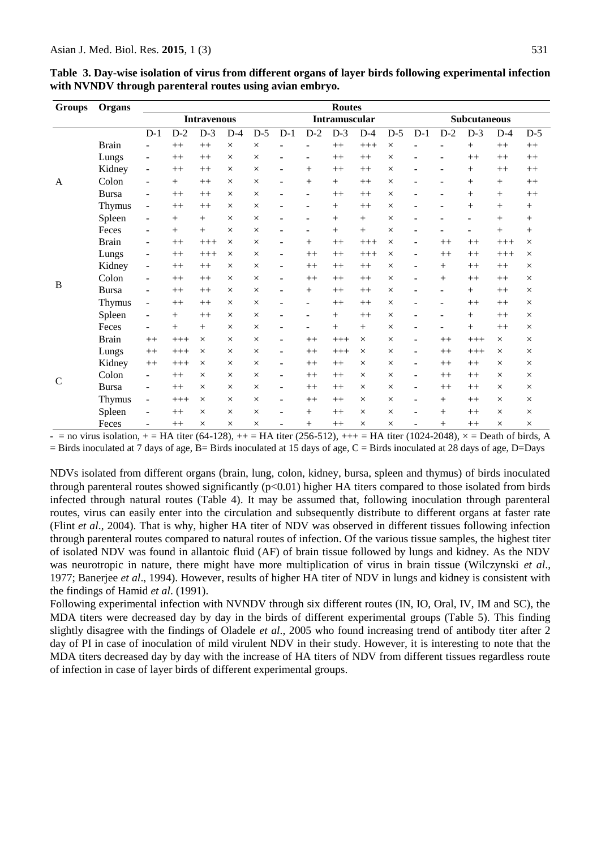| <b>Groups</b> | Organs        |                          |                    |          |          |          |                          |                          | <b>Routes</b> |          |          |                     |        |                          |          |          |
|---------------|---------------|--------------------------|--------------------|----------|----------|----------|--------------------------|--------------------------|---------------|----------|----------|---------------------|--------|--------------------------|----------|----------|
|               |               |                          | <b>Intravenous</b> |          |          |          |                          | Intramuscular            |               |          |          | <b>Subcutaneous</b> |        |                          |          |          |
|               |               | $D-1$                    | $D-2$              | $D-3$    | $D-4$    | $D-5$    | $D-1$                    | $D-2$                    | $D-3$         | $D-4$    | $D-5$    | $D-1$               | $D-2$  | $D-3$                    | $D-4$    | $D-5$    |
|               | <b>Brain</b>  |                          | $^{++}$            | $++$     | $\times$ | $\times$ |                          |                          | $^{++}$       | $+++$    | $\times$ |                     |        | $^{+}$                   | $++$     | $++$     |
|               | Lungs         |                          | $++$               | $++$     | $\times$ | $\times$ |                          |                          | $^{++}$       | $++$     | $\times$ |                     |        | $++$                     | $++$     | $++$     |
|               | Kidney        | $\overline{\phantom{a}}$ | $++$               | $++$     | $\times$ | $\times$ | $\overline{\phantom{a}}$ | $^{+}$                   | $++$          | $++$     | $\times$ |                     | ۰      | $^{+}$                   | $++$     | $^{++}$  |
| A             | Colon         | $\overline{a}$           | $^{+}$             | $++$     | $\times$ | $\times$ | $\overline{\phantom{a}}$ | $^{+}$                   | $^{+}$        | $++$     | $\times$ |                     |        | $^{+}$                   | $^{+}$   | $++$     |
|               | <b>Bursa</b>  | $\overline{a}$           | $++$               | $++$     | $\times$ | $\times$ |                          | $\overline{\phantom{a}}$ | $^{++}$       | $++$     | $\times$ |                     |        | $^{+}$                   | $^{+}$   | $++$     |
|               | <b>Thymus</b> | $\overline{\phantom{a}}$ | $++$               | $++$     | $\times$ | $\times$ |                          |                          | $^{+}$        | $++$     | $\times$ |                     |        | $^{+}$                   | $^{+}$   | $+$      |
|               | Spleen        | $\overline{\phantom{a}}$ | $^{+}$             | $^{+}$   | $\times$ | $\times$ |                          |                          | $^{+}$        | $^{+}$   | $\times$ |                     |        | ۰                        | $^{+}$   | $^{+}$   |
|               | Feces         | $\overline{\phantom{a}}$ | $+$                | $+$      | $\times$ | $\times$ |                          | $\qquad \qquad -$        | $+$           | $+$      | $\times$ |                     |        | $\overline{\phantom{0}}$ | $+$      | $+$      |
|               | <b>Brain</b>  | $\overline{\phantom{0}}$ | $^{++}$            | $+++$    | $\times$ | $\times$ |                          | $^{+}$                   | $++$          | $+++$    | $\times$ |                     | $++$   | $++$                     | $+++$    | $\times$ |
|               | Lungs         | ۰                        | $++$               | $+++$    | $\times$ | $\times$ | $\overline{\phantom{a}}$ | $++$                     | $++$          | $+++$    | $\times$ |                     | $++$   | $++$                     | $+++$    | $\times$ |
|               | Kidney        | $\overline{\phantom{a}}$ | $++$               | $++$     | $\times$ | $\times$ | $\overline{\phantom{a}}$ | $++$                     | $++$          | $++$     | $\times$ | -                   | $+$    | $++$                     | $++$     | $\times$ |
|               | Colon         | $\overline{a}$           | $++$               | $++$     | $\times$ | $\times$ | -                        | $++$                     | $++$          | $++$     | $\times$ |                     | $^{+}$ | $++$                     | $++$     | $\times$ |
| B             | <b>Bursa</b>  | $\overline{\phantom{a}}$ | $++$               | $++$     | $\times$ | $\times$ |                          | $^{+}$                   | $++$          | $++$     | $\times$ |                     |        | $+$                      | $++$     | $\times$ |
|               | Thymus        | $\overline{\phantom{a}}$ | $++$               | $++$     | $\times$ | $\times$ | $\overline{\phantom{0}}$ | $\qquad \qquad -$        | $++$          | $++$     | $\times$ |                     | ۰      | $++$                     | $++$     | $\times$ |
|               | Spleen        | $\overline{a}$           | $\hspace{0.1mm} +$ | $++$     | $\times$ | $\times$ |                          |                          | $^{+}$        | $++$     | $\times$ |                     |        | $^{+}$                   | $++$     | $\times$ |
|               | Feces         |                          | $^{+}$             | $^{+}$   | $\times$ | $\times$ |                          |                          | $^{+}$        | $^{+}$   | $\times$ |                     |        | $^{+}$                   | $++$     | $\times$ |
|               | <b>Brain</b>  | $++$                     | $+++$              | $\times$ | $\times$ | $\times$ | $\overline{\phantom{a}}$ | $++$                     | $+++$         | $\times$ | $\times$ | ۰                   | $++$   | $+++$                    | $\times$ | $\times$ |
|               | Lungs         | $^{++}$                  | $++++$             | $\times$ | $\times$ | $\times$ | $\overline{\phantom{a}}$ | $++$                     | $++++$        | $\times$ | $\times$ | $\qquad \qquad -$   | $++$   | $+++$                    | $\times$ | $\times$ |
|               | Kidney        | $++$                     | $++++$             | $\times$ | $\times$ | $\times$ | $\overline{\phantom{a}}$ | $++$                     | $++$          | $\times$ | $\times$ | -                   | $++$   | $++$                     | $\times$ | $\times$ |
|               | Colon         | $\overline{\phantom{a}}$ | $++$               | $\times$ | $\times$ | $\times$ | $\overline{\phantom{a}}$ | $++$                     | $++$          | $\times$ | $\times$ | ۰                   | $++$   | $++$                     | $\times$ | $\times$ |
| $\mathcal{C}$ | <b>Bursa</b>  | $\overline{\phantom{a}}$ | $++$               | $\times$ | $\times$ | $\times$ | $\overline{\phantom{a}}$ | $++$                     | $^{++}$       | $\times$ | $\times$ | $\overline{a}$      | $++$   | $++$                     | $\times$ | $\times$ |
|               | Thymus        | $\overline{\phantom{a}}$ | $+++$              | $\times$ | $\times$ | $\times$ | ۰                        | $++$                     | $++$          | $\times$ | $\times$ | ۰                   | $+$    | $++$                     | $\times$ | $\times$ |
|               | Spleen        | $\overline{\phantom{a}}$ | $++$               | $\times$ | $\times$ | $\times$ |                          | $+$                      | $++$          | $\times$ | $\times$ |                     | $+$    | $++$                     | $\times$ | $\times$ |
|               | Feces         | ۰                        | $^{++}$            | $\times$ | $\times$ | $\times$ | $\overline{\phantom{a}}$ | $^{+}$                   | $++$          | $\times$ | $\times$ | ۰                   | $+$    | $++$                     | $\times$ | $\times$ |

**Table 3. Day-wise isolation of virus from different organs of layer birds following experimental infection with NVNDV through parenteral routes using avian embryo.**

 $-$  = no virus isolation,  $+$  = HA titer (64-128),  $++$  = HA titer (256-512),  $++$  = HA titer (1024-2048),  $\times$  = Death of birds, A  $=$  Birds inoculated at 7 days of age, B $=$  Birds inoculated at 15 days of age, C  $=$  Birds inoculated at 28 days of age, D $=$ Days

NDVs isolated from different organs (brain, lung, colon, kidney, bursa, spleen and thymus) of birds inoculated through parenteral routes showed significantly  $(p<0.01)$  higher HA titers compared to those isolated from birds infected through natural routes (Table 4). It may be assumed that, following inoculation through parenteral routes, virus can easily enter into the circulation and subsequently distribute to different organs at faster rate (Flint *et al*., 2004). That is why, higher HA titer of NDV was observed in different tissues following infection through parenteral routes compared to natural routes of infection. Of the various tissue samples, the highest titer of isolated NDV was found in allantoic fluid (AF) of brain tissue followed by lungs and kidney. As the NDV was neurotropic in nature, there might have more multiplication of virus in brain tissue (Wilczynski *et al*., 1977; Banerjee *et al*., 1994). However, results of higher HA titer of NDV in lungs and kidney is consistent with the findings of Hamid *et al*. (1991).

Following experimental infection with NVNDV through six different routes (IN, IO, Oral, IV, IM and SC), the MDA titers were decreased day by day in the birds of different experimental groups (Table 5). This finding slightly disagree with the findings of Oladele *et al*., 2005 who found increasing trend of antibody titer after 2 day of PI in case of inoculation of mild virulent NDV in their study. However, it is interesting to note that the MDA titers decreased day by day with the increase of HA titers of NDV from different tissues regardless route of infection in case of layer birds of different experimental groups.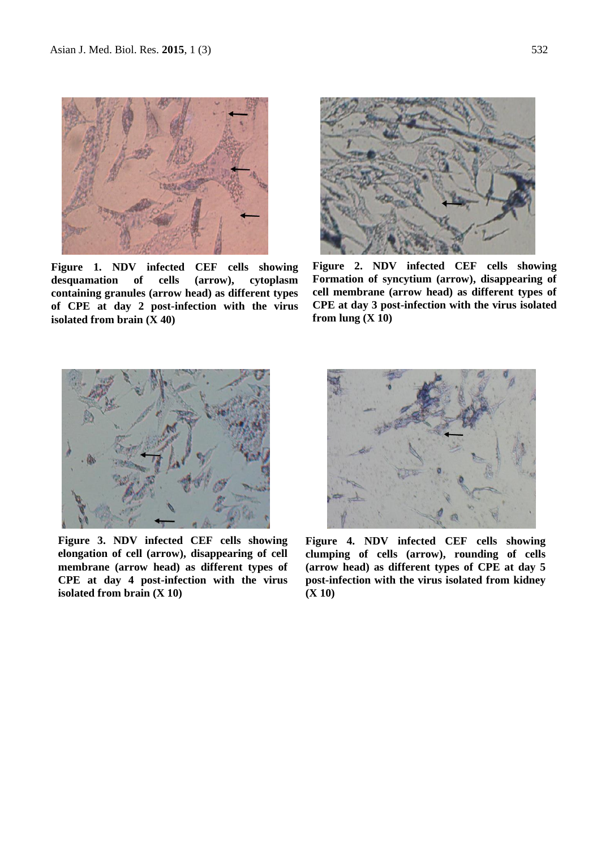

**Figure 1. NDV infected CEF cells showing desquamation of cells (arrow), cytoplasm containing granules (arrow head) as different types of CPE at day 2 post-infection with the virus isolated from brain (X 40)**



**Figure 2. NDV infected CEF cells showing Formation of syncytium (arrow), disappearing of cell membrane (arrow head) as different types of CPE at day 3 post-infection with the virus isolated from lung (X 10)**



**Figure 3. NDV infected CEF cells showing elongation of cell (arrow), disappearing of cell membrane (arrow head) as different types of CPE at day 4 post-infection with the virus isolated from brain (X 10)**



**Figure 4. NDV infected CEF cells showing clumping of cells (arrow), rounding of cells (arrow head) as different types of CPE at day 5 post-infection with the virus isolated from kidney (X 10)**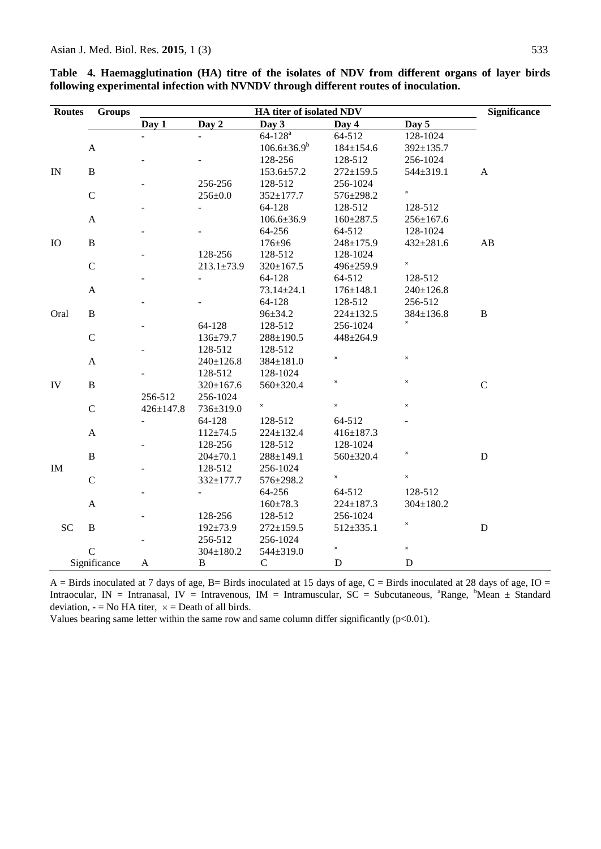| <b>Routes</b> | <b>Groups</b>  |                 | <b>Significance</b> |                    |                           |                           |              |
|---------------|----------------|-----------------|---------------------|--------------------|---------------------------|---------------------------|--------------|
|               |                | Day 1           | Day 2               | Day 3              | Day 4                     | Day 5                     |              |
|               |                |                 |                     | $64 - 128^{a}$     | 64-512                    | 128-1024                  |              |
|               | $\mathbf{A}$   |                 |                     | $106.6 \pm 36.9^b$ | $184 \pm 154.6$           | $392 \pm 135.7$           |              |
|               |                |                 |                     | 128-256            | 128-512                   | 256-1024                  |              |
| IN            | $\, {\bf B}$   |                 |                     | $153.6 \pm 57.2$   | $272 \pm 159.5$           | 544±319.1                 | $\mathbf{A}$ |
|               |                |                 | 256-256             | 128-512            | 256-1024                  |                           |              |
|               | $\mathcal{C}$  |                 | $256 \pm 0.0$       | $352 \pm 177.7$    | 576±298.2                 | $\times$                  |              |
|               |                |                 |                     | 64-128             | 128-512                   | 128-512                   |              |
|               | $\mathbf A$    |                 |                     | $106.6{\pm}36.9$   | $160 \pm 287.5$           | $256 \pm 167.6$           |              |
|               |                |                 |                     | 64-256             | 64-512                    | 128-1024                  |              |
| IO            | $\, {\bf B}$   |                 |                     | $176 + 96$         | 248±175.9                 | $432 \pm 281.6$           | AB           |
|               |                |                 | 128-256             | 128-512            | 128-1024                  |                           |              |
|               | $\mathbf C$    |                 | $213.1 \pm 73.9$    | $320 \pm 167.5$    | 496±259.9                 | $\times$                  |              |
|               |                |                 |                     | 64-128             | 64-512                    | 128-512                   |              |
|               | $\mathbf{A}$   |                 |                     | 73.14±24.1         | $176 \pm 148.1$           | $240 \pm 126.8$           |              |
|               |                |                 |                     | 64-128             | 128-512                   | 256-512                   |              |
| Oral          | $\, {\bf B}$   |                 |                     | $96 \pm 34.2$      | $224 \pm 132.5$           | $384 \pm 136.8$           | B            |
|               |                |                 | 64-128              | 128-512            | 256-1024                  | $\times$                  |              |
|               | $\mathsf{C}$   |                 | $136 \pm 79.7$      | $288 \pm 190.5$    | $448 \pm 264.9$           |                           |              |
|               |                |                 | 128-512             | 128-512            |                           |                           |              |
|               | $\mathbf{A}$   |                 | $240 \pm 126.8$     | 384±181.0          | $\times$                  | $\times$                  |              |
|               |                |                 | 128-512             | 128-1024           |                           |                           |              |
| IV            | $\, {\bf B}$   |                 | $320 \pm 167.6$     | 560±320.4          | $\times$                  | $\times$                  | $\mathbf C$  |
|               |                | 256-512         | 256-1024            |                    |                           |                           |              |
|               | $\mathbf C$    | $426 \pm 147.8$ | 736±319.0           | $\times$           | $\times$                  | $\times$                  |              |
|               |                |                 | 64-128              | 128-512            | 64-512                    |                           |              |
|               | $\mathbf A$    |                 | $112 \pm 74.5$      | $224 \pm 132.4$    | $416 \pm 187.3$           |                           |              |
|               |                |                 | 128-256             | 128-512            | 128-1024                  |                           |              |
|               | $\overline{B}$ |                 | $204 \pm 70.1$      | $288 \pm 149.1$    | 560±320.4                 | $\times$                  | $\mathbf D$  |
| IM            |                |                 | 128-512             | 256-1024           |                           |                           |              |
|               | $\mathsf{C}$   |                 | 332±177.7           | 576±298.2          | $\times$                  | $\times$                  |              |
|               |                |                 |                     | 64-256             | 64-512                    | 128-512                   |              |
|               | $\mathbf A$    |                 |                     | $160 \pm 78.3$     | $224 \pm 187.3$           | $304 \pm 180.2$           |              |
|               |                |                 | 128-256             | 128-512            | 256-1024                  |                           |              |
| <b>SC</b>     | $\, {\bf B}$   |                 | $192 \pm 73.9$      | $272 \pm 159.5$    | $512 \pm 335.1$           | $\boldsymbol{\mathsf{x}}$ | $\mathbf D$  |
|               |                |                 | 256-512             | 256-1024           |                           |                           |              |
|               | $\mathcal{C}$  |                 | $304 \pm 180.2$     | 544±319.0          | $\boldsymbol{\mathsf{x}}$ | $\times$                  |              |
|               | Significance   | A               | $\bf{B}$            | $\mathbf C$        | $\mathbf D$               | $\mathbf D$               |              |

**Table 4. Haemagglutination (HA) titre of the isolates of NDV from different organs of layer birds following experimental infection with NVNDV through different routes of inoculation.**

 $A =$  Birds inoculated at 7 days of age, B= Birds inoculated at 15 days of age, C = Birds inoculated at 28 days of age, IO = Intraocular, IN = Intranasal, IV = Intravenous, IM = Intramuscular, SC = Subcutaneous, <sup>a</sup>Range, <sup>b</sup>Mean ± Standard deviation,  $-$  = No HA titer,  $\times$  = Death of all birds.

Values bearing same letter within the same row and same column differ significantly (p<0.01).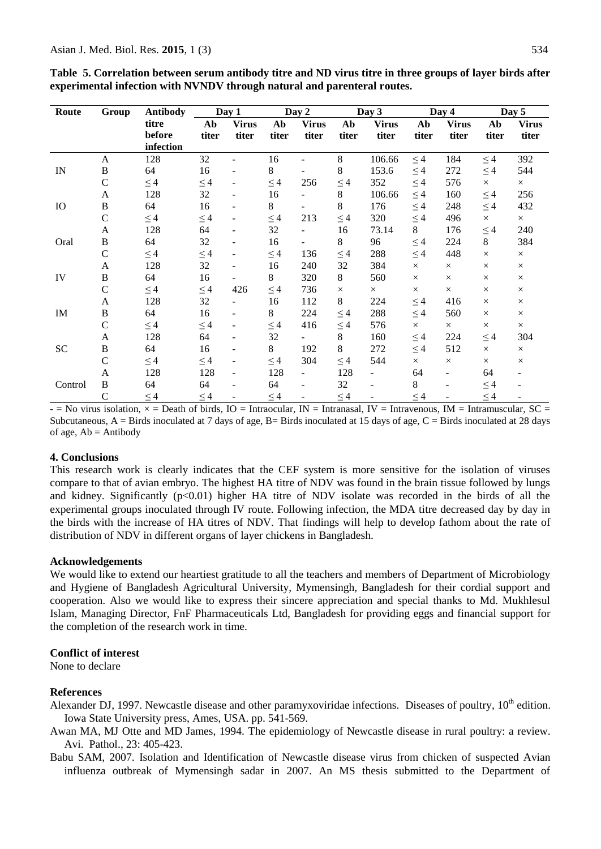| Route                      | Group         |           | <b>Antibody</b><br>Day 1 |                | Day 2    |                          |          | Day 3                    |          | Day 4        | Day 5    |              |
|----------------------------|---------------|-----------|--------------------------|----------------|----------|--------------------------|----------|--------------------------|----------|--------------|----------|--------------|
|                            |               | titre     | Ab                       | <b>Virus</b>   | Ab       | <b>Virus</b>             | Ab       | <b>Virus</b>             | Ab       | <b>Virus</b> | Ab       | <b>Virus</b> |
|                            |               | before    | titer                    | titer          | titer    | titer                    | titer    | titer                    | titer    | titer        | titer    | titer        |
|                            |               | infection |                          |                |          |                          |          |                          |          |              |          |              |
|                            | A             | 128       | 32                       | ÷              | 16       |                          | 8        | 106.66                   | $\leq 4$ | 184          | $\leq 4$ | 392          |
| IN                         | $\, {\bf B}$  | 64        | 16                       |                | 8        |                          | 8        | 153.6                    | $\leq 4$ | 272          | $\leq$ 4 | 544          |
|                            | $\mathbf C$   | $\leq 4$  | $\leq 4$                 |                | $\leq 4$ | 256                      | $\leq$ 4 | 352                      | $\leq 4$ | 576          | $\times$ | $\times$     |
|                            | A             | 128       | 32                       |                | 16       |                          | $8\,$    | 106.66                   | $\leq 4$ | 160          | $\leq 4$ | 256          |
| <b>IO</b>                  | B             | 64        | 16                       |                | 8        |                          | 8        | 176                      | $\leq 4$ | 248          | $\leq 4$ | 432          |
|                            | $\mathcal{C}$ | $\leq 4$  | $\leq 4$                 |                | $\leq 4$ | 213                      | $\leq 4$ | 320                      | $\leq 4$ | 496          | $\times$ | $\times$     |
|                            | A             | 128       | 64                       |                | 32       |                          | 16       | 73.14                    | 8        | 176          | $\leq 4$ | 240          |
| Oral                       | $\, {\bf B}$  | 64        | 32                       |                | 16       | $\overline{\phantom{0}}$ | $8\,$    | 96                       | $\leq$ 4 | 224          | 8        | 384          |
|                            | $\mathsf{C}$  | $\leq 4$  | $\leq 4$                 | $\blacksquare$ | $\leq 4$ | 136                      | $\leq 4$ | 288                      | $\leq 4$ | 448          | $\times$ | $\times$     |
|                            | A             | 128       | 32                       |                | 16       | 240                      | 32       | 384                      | $\times$ | $\times$     | $\times$ | $\times$     |
| IV                         | $\, {\bf B}$  | 64        | 16                       |                | 8        | 320                      | 8        | 560                      | $\times$ | $\times$     | $\times$ | $\times$     |
|                            | $\mathcal{C}$ | $\leq$ 4  | $\leq 4$                 | 426            | $\leq 4$ | 736                      | $\times$ | $\times$                 | $\times$ | $\times$     | $\times$ | $\times$     |
|                            | A             | 128       | 32                       |                | 16       | 112                      | 8        | 224                      | $\leq 4$ | 416          | $\times$ | $\times$     |
| $\mathop{\rm IM}\nolimits$ | $\bf{B}$      | 64        | 16                       |                | 8        | 224                      | $\leq$ 4 | 288                      | $\leq 4$ | 560          | $\times$ | $\times$     |
|                            | $\mathcal{C}$ | $\leq$ 4  | $\leq 4$                 |                | $\leq 4$ | 416                      | $\leq 4$ | 576                      | $\times$ | $\times$     | $\times$ | $\times$     |
|                            | A             | 128       | 64                       |                | 32       |                          | $8\,$    | 160                      | $\leq$ 4 | 224          | $\leq 4$ | 304          |
| SC                         | B             | 64        | 16                       |                | 8        | 192                      | 8        | 272                      | $\leq 4$ | 512          | $\times$ | $\times$     |
|                            | $\mathcal{C}$ | $\leq 4$  | $\leq 4$                 |                | $\leq 4$ | 304                      | $\leq 4$ | 544                      | $\times$ | $\times$     | $\times$ | $\times$     |
|                            | A             | 128       | 128                      |                | 128      |                          | 128      | $\overline{\phantom{0}}$ | 64       |              | 64       |              |
| Control                    | $\, {\bf B}$  | 64        | 64                       |                | 64       |                          | 32       |                          | $8\,$    |              | $\leq 4$ |              |
|                            | $\mathcal{C}$ | $\leq 4$  | $\leq 4$                 |                | $\leq 4$ |                          | $\leq 4$ |                          | $\leq 4$ |              | $\leq 4$ |              |

**Table 5. Correlation between serum antibody titre and ND virus titre in three groups of layer birds after experimental infection with NVNDV through natural and parenteral routes.** 

 $-$  = No virus isolation,  $\times$  = Death of birds, IO = Intraocular, IN = Intranasal, IV = Intravenous, IM = Intramuscular, SC = Subcutaneous,  $A =$  Birds inoculated at 7 days of age,  $B =$  Birds inoculated at 15 days of age,  $C =$  Birds inoculated at 28 days of age,  $Ab = Antibody$ 

#### **4. Conclusions**

This research work is clearly indicates that the CEF system is more sensitive for the isolation of viruses compare to that of avian embryo. The highest HA titre of NDV was found in the brain tissue followed by lungs and kidney. Significantly  $(p<0.01)$  higher HA titre of NDV isolate was recorded in the birds of all the experimental groups inoculated through IV route. Following infection, the MDA titre decreased day by day in the birds with the increase of HA titres of NDV. That findings will help to develop fathom about the rate of distribution of NDV in different organs of layer chickens in Bangladesh.

#### **Acknowledgements**

We would like to extend our heartiest gratitude to all the teachers and members of Department of Microbiology and Hygiene of Bangladesh Agricultural University, Mymensingh, Bangladesh for their cordial support and cooperation. Also we would like to express their sincere appreciation and special thanks to Md. Mukhlesul Islam, Managing Director, FnF Pharmaceuticals Ltd, Bangladesh for providing eggs and financial support for the completion of the research work in time.

#### **Conflict of interest**

None to declare

#### **References**

Alexander DJ, 1997. Newcastle disease and other paramyxoviridae infections. Diseases of poultry, 10<sup>th</sup> edition. Iowa State University press, Ames, USA. pp. 541-569.

Awan MA, MJ Otte and MD James, 1994. The epidemiology of Newcastle disease in rural poultry: a review. Avi. Pathol., 23: 405-423.

Babu SAM, 2007. Isolation and Identification of Newcastle disease virus from chicken of suspected Avian influenza outbreak of Mymensingh sadar in 2007. An MS thesis submitted to the Department of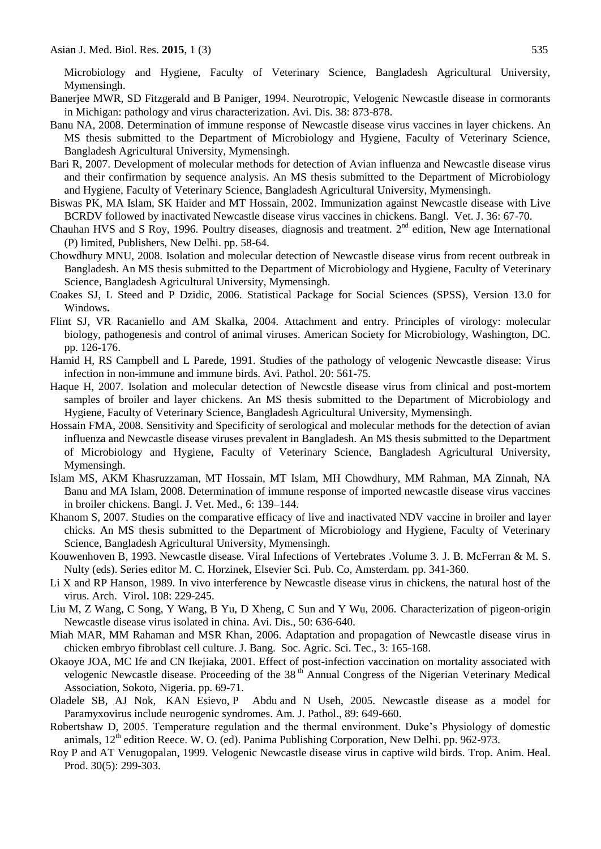Microbiology and Hygiene, Faculty of Veterinary Science, Bangladesh Agricultural University, Mymensingh.

- Banerjee MWR, SD Fitzgerald and B Paniger, 1994. Neurotropic, Velogenic Newcastle disease in cormorants in Michigan: pathology and virus characterization. Avi. Dis. 38: 873-878.
- Banu NA, 2008. Determination of immune response of Newcastle disease virus vaccines in layer chickens. An MS thesis submitted to the Department of Microbiology and Hygiene, Faculty of Veterinary Science, Bangladesh Agricultural University, Mymensingh.
- Bari R, 2007. Development of molecular methods for detection of Avian influenza and Newcastle disease virus and their confirmation by sequence analysis. An MS thesis submitted to the Department of Microbiology and Hygiene, Faculty of Veterinary Science, Bangladesh Agricultural University, Mymensingh.
- Biswas PK, MA Islam, SK Haider and MT Hossain, 2002. Immunization against Newcastle disease with Live BCRDV followed by inactivated Newcastle disease virus vaccines in chickens. Bangl. Vet. J. 36: 67-70.
- Chauhan HVS and S Roy, 1996. Poultry diseases, diagnosis and treatment.  $2<sup>nd</sup>$  edition, New age International (P) limited, Publishers, New Delhi. pp. 58-64.
- Chowdhury MNU, 2008. Isolation and molecular detection of Newcastle disease virus from recent outbreak in Bangladesh. An MS thesis submitted to the Department of Microbiology and Hygiene, Faculty of Veterinary Science, Bangladesh Agricultural University, Mymensingh.
- Coakes SJ, L Steed and P Dzidic, 2006. Statistical Package for Social Sciences (SPSS), Version 13.0 for Windows**.**
- Flint SJ, VR Racaniello and AM Skalka, 2004. Attachment and entry. Principles of virology: molecular biology, pathogenesis and control of animal viruses. American Society for Microbiology, Washington, DC*.* pp. 126-176.
- Hamid H, RS Campbell and L Parede, 1991. Studies of the pathology of velogenic Newcastle disease: Virus infection in non-immune and immune birds. Avi. Pathol. 20: 561-75.
- Haque H, 2007. Isolation and molecular detection of Newcstle disease virus from clinical and post-mortem samples of broiler and layer chickens. An MS thesis submitted to the Department of Microbiology and Hygiene, Faculty of Veterinary Science, Bangladesh Agricultural University, Mymensingh.
- Hossain FMA, 2008. Sensitivity and Specificity of serological and molecular methods for the detection of avian influenza and Newcastle disease viruses prevalent in Bangladesh. An MS thesis submitted to the Department of Microbiology and Hygiene, Faculty of Veterinary Science, Bangladesh Agricultural University, Mymensingh.
- Islam MS, AKM Khasruzzaman, MT Hossain, MT Islam, MH Chowdhury, MM Rahman, MA Zinnah, NA Banu and MA Islam, 2008. Determination of immune response of imported newcastle disease virus vaccines in broiler chickens. Bangl. J. Vet. Med., 6: 139–144.
- Khanom S, 2007. Studies on the comparative efficacy of live and inactivated NDV vaccine in broiler and layer chicks. An MS thesis submitted to the Department of Microbiology and Hygiene, Faculty of Veterinary Science, Bangladesh Agricultural University, Mymensingh.
- Kouwenhoven B, 1993. Newcastle disease. Viral Infections of Vertebrates .Volume 3. J. B. McFerran & M. S. Nulty (eds). Series editor M. C. Horzinek, Elsevier Sci. Pub. Co, Amsterdam. pp. 341-360.
- Li X and RP Hanson, 1989. In vivo interference by Newcastle disease virus in chickens, the natural host of the virus. Arch. Virol**.** 108: 229-245.
- Liu M, Z Wang, C Song, Y Wang, B Yu, D Xheng, C Sun and Y Wu, 2006. Characterization of pigeon-origin Newcastle disease virus isolated in china. Avi. Dis., 50: 636-640.
- Miah MAR, MM Rahaman and MSR Khan, 2006. Adaptation and propagation of Newcastle disease virus in chicken embryo fibroblast cell culture. J. Bang. Soc. Agric. Sci. Tec., 3: 165-168.
- Okaoye JOA, MC Ife and CN Ikejiaka, 2001. Effect of post-infection vaccination on mortality associated with velogenic Newcastle disease. Proceeding of the 38<sup>th</sup> Annual Congress of the Nigerian Veterinary Medical Association, Sokoto, Nigeria. pp. 69-71.
- Oladele SB, AJ Nok, KAN Esievo, P Abdu and N Useh, 2005. Newcastle disease as a model for Paramyxovirus include neurogenic syndromes. Am. J. Pathol., 89: 649-660.
- Robertshaw D, 2005. Temperature regulation and the thermal environment. Duke's Physiology of domestic animals,  $12<sup>th</sup>$  edition Reece. W. O. (ed). Panima Publishing Corporation, New Delhi. pp. 962-973.
- [Roy P](http://www.ncbi.nlm.nih.gov/entrez/query.fcgi?db=pubmed&cmd=Search&itool=pubmed_AbstractPlus&term=%22Roy+P%22%5BAuthor%5D) and AT [Venugopalan,](http://www.ncbi.nlm.nih.gov/entrez/query.fcgi?db=pubmed&cmd=Search&itool=pubmed_AbstractPlus&term=%22Venugopalan+AT%22%5BAuthor%5D) 1999. Velogenic Newcastle disease virus in captive wild birds. Trop. Anim. Heal. Prod. 30(5): 299-303.